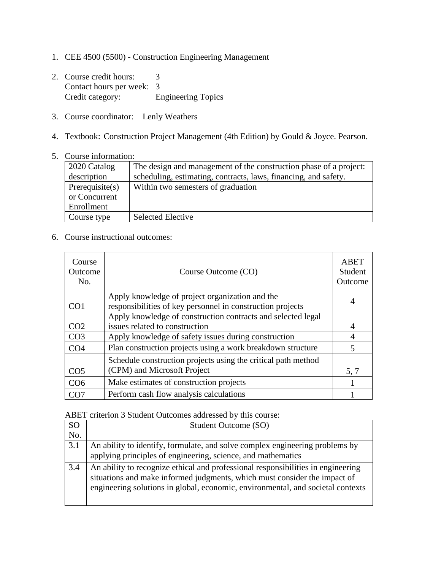- 1. CEE 4500 (5500) Construction Engineering Management
- 2. Course credit hours: 3 Contact hours per week: 3<br>Credit category: E Engineering Topics
- 3. Course coordinator: Lenly Weathers
- 4. Textbook: Construction Project Management (4th Edition) by Gould & Joyce. Pearson.
- 5. Course information:

| 2020 Catalog    | The design and management of the construction phase of a project: |
|-----------------|-------------------------------------------------------------------|
| description     | scheduling, estimating, contracts, laws, financing, and safety.   |
| Prerequisite(s) | Within two semesters of graduation                                |
| or Concurrent   |                                                                   |
| Enrollment      |                                                                   |
| Course type     | <b>Selected Elective</b>                                          |

6. Course instructional outcomes:

| Course<br>Outcome<br>No. | Course Outcome (CO)                                                                                           | ABET<br>Student<br>Outcome |
|--------------------------|---------------------------------------------------------------------------------------------------------------|----------------------------|
| CO <sub>1</sub>          | Apply knowledge of project organization and the<br>responsibilities of key personnel in construction projects |                            |
|                          | Apply knowledge of construction contracts and selected legal                                                  |                            |
| CO <sub>2</sub>          | issues related to construction                                                                                | 4                          |
| CO <sub>3</sub>          | Apply knowledge of safety issues during construction                                                          | 4                          |
| CO <sub>4</sub>          | Plan construction projects using a work breakdown structure                                                   | $\overline{\mathcal{L}}$   |
|                          | Schedule construction projects using the critical path method                                                 |                            |
| CO <sub>5</sub>          | (CPM) and Microsoft Project                                                                                   | 5, 7                       |
| CO <sub>6</sub>          | Make estimates of construction projects                                                                       |                            |
| CO <sub>7</sub>          | Perform cash flow analysis calculations                                                                       |                            |

ABET criterion 3 Student Outcomes addressed by this course:

| <b>SO</b> | Student Outcome (SO)                                                                                                                                                                                                                             |
|-----------|--------------------------------------------------------------------------------------------------------------------------------------------------------------------------------------------------------------------------------------------------|
| No.       |                                                                                                                                                                                                                                                  |
| 3.1       | An ability to identify, formulate, and solve complex engineering problems by<br>applying principles of engineering, science, and mathematics                                                                                                     |
| 3.4       | An ability to recognize ethical and professional responsibilities in engineering<br>situations and make informed judgments, which must consider the impact of<br>engineering solutions in global, economic, environmental, and societal contexts |